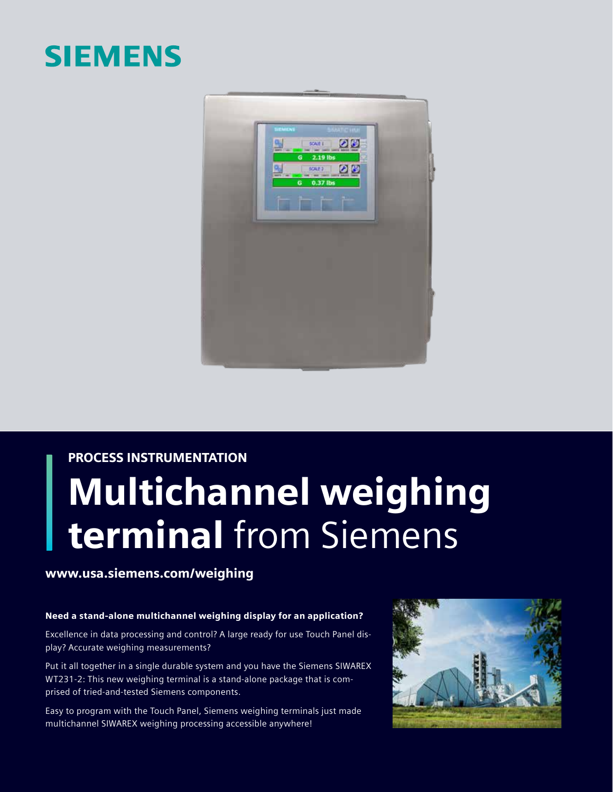### **SIEMENS**



## PROCESS INSTRUMENTATION Multichannel weighing terminal from Siemens

### www.usa.siemens.com/weighing

#### Need a stand-alone multichannel weighing display for an application?

Excellence in data processing and control? A large ready for use Touch Panel display? Accurate weighing measurements?

Put it all together in a single durable system and you have the Siemens SIWAREX WT231-2: This new weighing terminal is a stand-alone package that is comprised of tried-and-tested Siemens components.

Easy to program with the Touch Panel, Siemens weighing terminals just made multichannel SIWAREX weighing processing accessible anywhere!

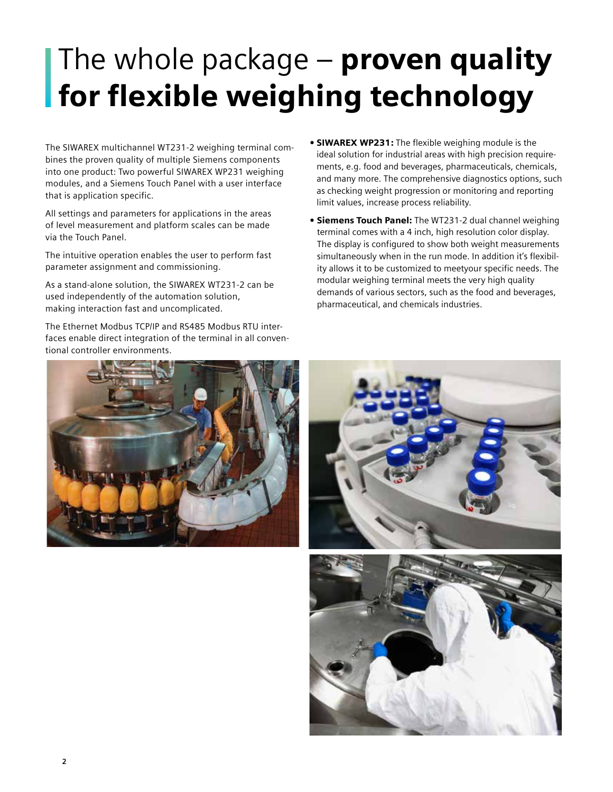# The whole package  $-$  proven quality for flexible weighing technology

The SIWAREX multichannel WT231-2 weighing terminal combines the proven quality of multiple Siemens components into one product: Two powerful SIWAREX WP231 weighing modules, and a Siemens Touch Panel with a user interface that is application specific.

All settings and parameters for applications in the areas of level measurement and platform scales can be made via the Touch Panel.

The intuitive operation enables the user to perform fast parameter assignment and commissioning.

As a stand-alone solution, the SIWAREX WT231-2 can be used independently of the automation solution, making interaction fast and uncomplicated.

The Ethernet Modbus TCP/IP and RS485 Modbus RTU interfaces enable direct integration of the terminal in all conventional controller environments.

- SIWAREX WP231: The flexible weighing module is the ideal solution for industrial areas with high precision requirements, e.g. food and beverages, pharmaceuticals, chemicals, and many more. The comprehensive diagnostics options, such as checking weight progression or monitoring and reporting limit values, increase process reliability.
- Siemens Touch Panel: The WT231-2 dual channel weighing terminal comes with a 4 inch, high resolution color display. The display is configured to show both weight measurements simultaneously when in the run mode. In addition it's flexibility allows it to be customized to meetyour specific needs. The modular weighing terminal meets the very high quality demands of various sectors, such as the food and beverages, pharmaceutical, and chemicals industries.



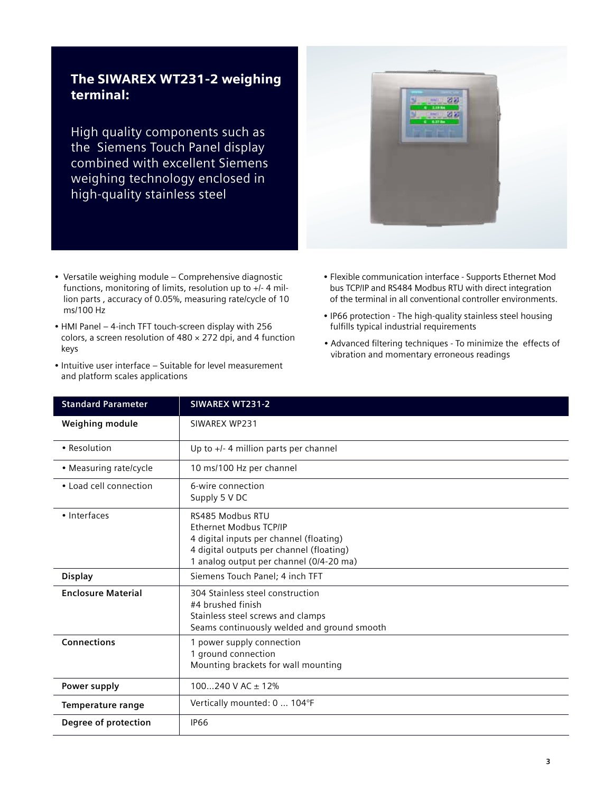### The SIWAREX WT231-2 weighing terminal:

High quality components such as the Siemens Touch Panel display combined with excellent Siemens weighing technology enclosed in high-quality stainless steel

- Versatile weighing module Comprehensive diagnostic functions, monitoring of limits, resolution up to +/- 4 million parts , accuracy of 0.05%, measuring rate/cycle of 10 ms/100 Hz
- HMI Panel 4-inch TFT touch-screen display with 256 colors, a screen resolution of  $480 \times 272$  dpi, and 4 function keys
- Intuitive user interface ‒ Suitable for level measurement and platform scales applications
- Flexible communication interface Supports Ethernet Mod bus TCP/IP and RS484 Modbus RTU with direct integration of the terminal in all conventional controller environments.
- IP66 protection The high-quality stainless steel housing fulfills typical industrial requirements
- Advanced filtering techniques To minimize the effects of vibration and momentary erroneous readings

| <b>Standard Parameter</b> | SIWAREX WT231-2                                                                                                                                                              |
|---------------------------|------------------------------------------------------------------------------------------------------------------------------------------------------------------------------|
| Weighing module           | SIWAREX WP231                                                                                                                                                                |
| • Resolution              | Up to +/- 4 million parts per channel                                                                                                                                        |
| • Measuring rate/cycle    | 10 ms/100 Hz per channel                                                                                                                                                     |
| • Load cell connection    | 6-wire connection<br>Supply 5 V DC                                                                                                                                           |
| · Interfaces              | RS485 Modbus RTU<br>Ethernet Modbus TCP/IP<br>4 digital inputs per channel (floating)<br>4 digital outputs per channel (floating)<br>1 analog output per channel (0/4-20 ma) |
| <b>Display</b>            | Siemens Touch Panel; 4 inch TFT                                                                                                                                              |
| <b>Enclosure Material</b> | 304 Stainless steel construction<br>#4 brushed finish<br>Stainless steel screws and clamps<br>Seams continuously welded and ground smooth                                    |
| <b>Connections</b>        | 1 power supply connection<br>1 ground connection<br>Mounting brackets for wall mounting                                                                                      |
| Power supply              | $100240$ V AC $\pm$ 12%                                                                                                                                                      |
| Temperature range         | Vertically mounted: 0  104°F                                                                                                                                                 |
| Degree of protection      | <b>IP66</b>                                                                                                                                                                  |